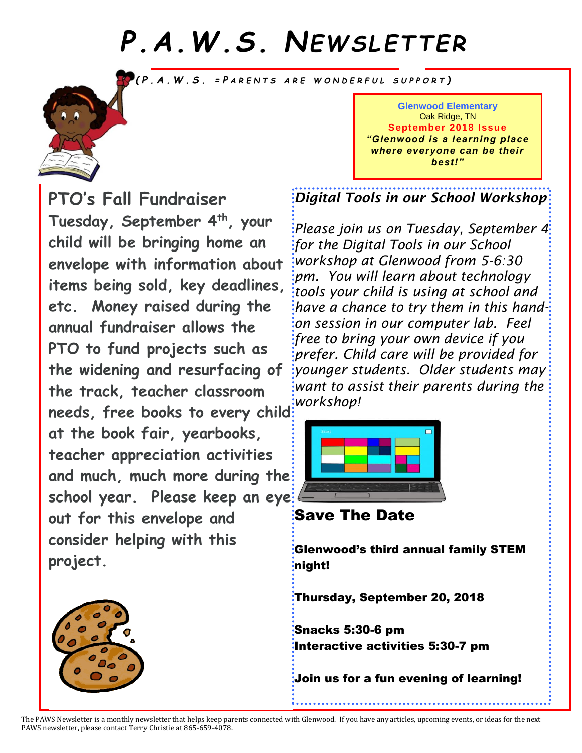# *P.A.W.S. NEWS LETTER*

*( P . A . W . S . = P A R E N T S A R E W O N D E R F U L S U P P O R T )*



**PTO's Fall Fundraiser Tuesday, September 4th, your child will be bringing home an envelope with information about items being sold, key deadlines, etc. Money raised during the annual fundraiser allows the PTO to fund projects such as the widening and resurfacing of the track, teacher classroom needs, free books to every child at the book fair, yearbooks, teacher appreciation activities and much, much more during the school year. Please keep an eye out for this envelope and consider helping with this project.**



*Digital Tools in our School Workshop*

*Please join us on Tuesday, September 4 for the Digital Tools in our School workshop at Glenwood from 5-6:30 pm. You will learn about technology tools your child is using at school and have a chance to try them in this handon session in our computer lab. Feel free to bring your own device if you prefer. Child care will be provided for younger students. Older students may want to assist their parents during the workshop!*



Save The Date

Glenwood's third annual family STEM night!

Thursday, September 20, 2018

Snacks 5:30-6 pm Interactive activities 5:30-7 pm

Join us for a fun evening of learning!



The PAWS Newsletter is a monthly newsletter that helps keep parents connected with Glenwood. If you have any articles, upcoming events, or ideas for the next PAWS newsletter, please contact Terry Christie at 865-659-4078.